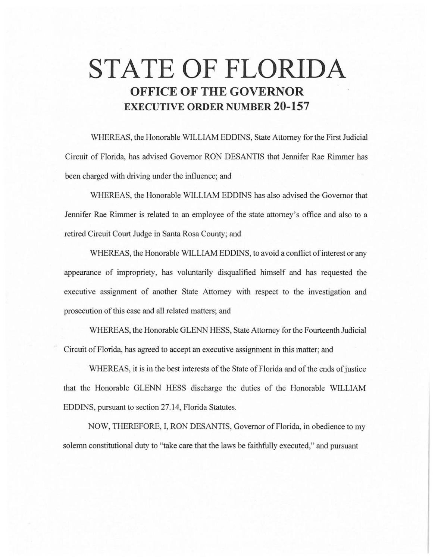## **STATE OF FLORIDA OFFICE OF THE GOVERNOR EXECUTIVE ORDER NUMBER 20-157**

WHEREAS, the Honorable WILLIAM EDDINS, State Attorney for the First Judicial Circuit of Florida, has advised Governor RON DESANTIS that Jennifer Rae Rimmer has been charged with driving under the influence; and

WHEREAS, the Honorable WILLIAM EDDINS has also advised the Governor that Jennifer Rae Rimmer is related to an employee of the state attorney's office and also to a retired Circuit Court Judge in Santa Rosa County; and

WHEREAS, the Honorable WILLIAM EDDINS, to avoid a conflict of interest or any appearance of impropriety, has voluntarily disqualified himself and has requested the executive assignment of another State Attorney with respect to the investigation and prosecution of this case and all related matters; and

WHEREAS, the Honorable GLENN HESS, State Attorney for the Fourteenth Judicial Circuit of Florida, has agreed to accept an executive assignment in this matter; and

WHEREAS, it is in the best interests of the State of Florida and of the ends of justice that the Honorable GLENN HESS discharge the duties of the Honorable WILLIAM EDDINS, pursuant to section 27.14, Florida Statutes.

NOW, THEREFORE, I, RON DESANTIS, Governor of Florida, in obedience to my solemn constitutional duty to "take care that the laws be faithfully executed," and pursuant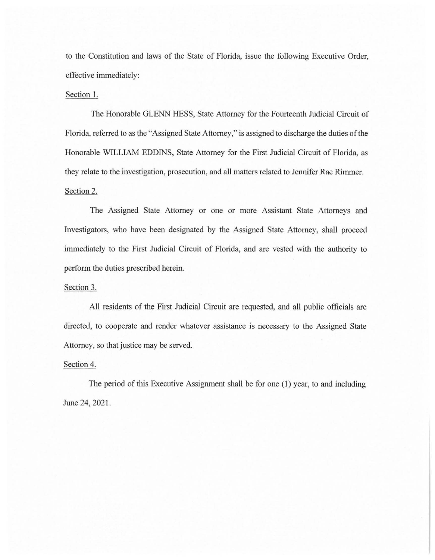to the Constitution and laws of the State of Florida, issue the following Executive Order, effective immediately:

## Section 1.

The Honorable GLENN HESS, State Attorney for the Fourteenth Judicial Circuit of Florida, referred to as the "Assigned State Attorney," is assigned to discharge the duties of the Honorable WILLIAM EDDINS, State Attorney for the First Judicial Circuit of Florida, as they relate to the investigation, prosecution, and all matters related to Jennifer Rae Rimmer. Section 2.

The Assigned State Attorney or one or more Assistant State Attorneys and Investigators, who have been designated by the Assigned State Attorney, shall proceed immediately to the First Judicial Circuit of Florida, and are vested with the authority to perform the duties prescribed herein.

## Section 3.

All residents of the First Judicial Circuit are requested, and all public officials are directed, to cooperate and render whatever assistance is necessary to the Assigned State Attorney, so that justice may be served.

## Section 4.

The period of this Executive Assignment shall be for one (1) year, to and including June 24, 2021.